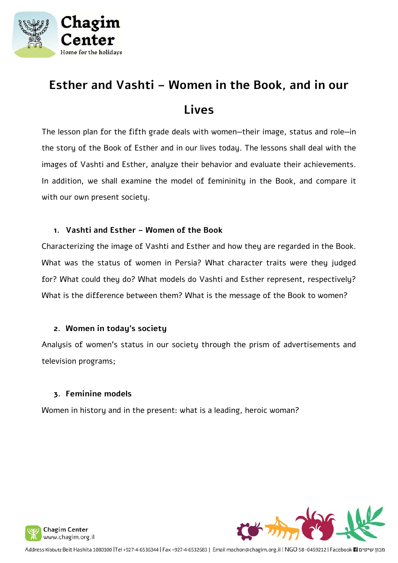

# **Esther and Vashti – Women in the Book, and in our Lives**

The lesson plan for the fifth grade deals with women—their image, status and role—in the story of the Book of Esther and in our lives today. The lessons shall deal with the images of Vashti and Esther, analyze their behavior and evaluate their achievements. In addition, we shall examine the model of femininity in the Book, and compare it with our own present society.

### **1. Vashti and Esther – Women of the Book**

Characterizing the image of Vashti and Esther and how they are regarded in the Book. What was the status of women in Persia? What character traits were they judged for? What could they do? What models do Vashti and Esther represent, respectively? What is the difference between them? What is the message of the Book to women?

### **2. Women in today's society**

Analysis of women's status in our society through the prism of advertisements and television programs;

### **3. Feminine models**

Women in history and in the present: what is a leading, heroic woman?



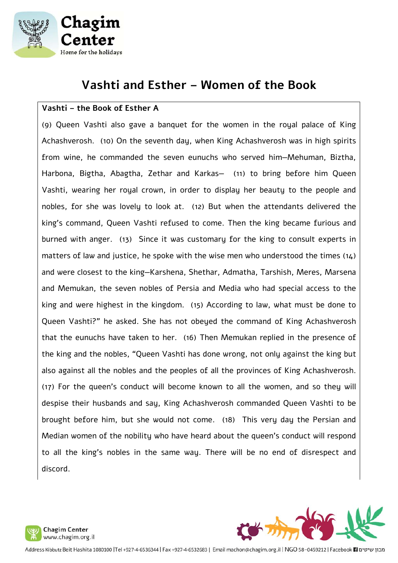

# **Vashti and Esther – Women of the Book**

### **Vashti – the Book of Esther A**

(9) Queen Vashti also gave a banquet for the women in the royal palace of King Achashverosh. (10) On the seventh day, when King Achashverosh was in high spirits from wine, he commanded the seven eunuchs who served him—Mehuman, Biztha, Harbona, Bigtha, Abagtha, Zethar and Karkas— (11) to bring before him Queen Vashti, wearing her royal crown, in order to display her beauty to the people and nobles, for she was lovely to look at. (12) But when the attendants delivered the king's command, Queen Vashti refused to come. Then the king became furious and burned with anger. (13) Since it was customary for the king to consult experts in matters of law and justice, he spoke with the wise men who understood the times (14) and were closest to the king—Karshena, Shethar, Admatha, Tarshish, Meres, Marsena and Memukan, the seven nobles of Persia and Media who had special access to the king and were highest in the kingdom. (15) According to law, what must be done to Queen Vashti?" he asked. She has not obeyed the command of King Achashverosh that the eunuchs have taken to her. (16) Then Memukan replied in the presence of the king and the nobles, "Queen Vashti has done wrong, not only against the king but also against all the nobles and the peoples of all the provinces of King Achashverosh. (17) For the queen's conduct will become known to all the women, and so they will despise their husbands and say, King Achashverosh commanded Queen Vashti to be brought before him, but she would not come. (18) This very day the Persian and Median women of the nobility who have heard about the queen's conduct will respond to all the king's nobles in the same way. There will be no end of disrespect and discord.



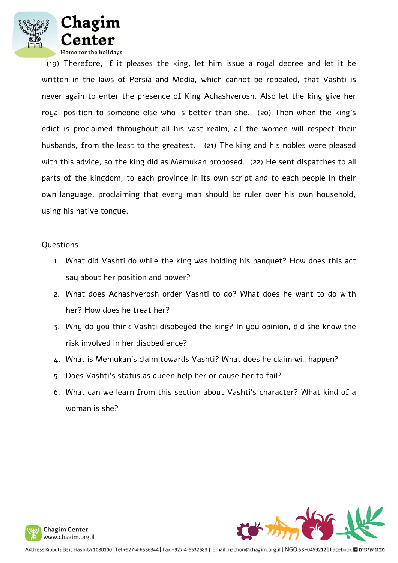



 (19) Therefore, if it pleases the king, let him issue a royal decree and let it be written in the laws of Persia and Media, which cannot be repealed, that Vashti is never again to enter the presence of King Achashverosh. Also let the king give her royal position to someone else who is better than she. (20) Then when the king's edict is proclaimed throughout all his vast realm, all the women will respect their husbands, from the least to the greatest. (21) The king and his nobles were pleased with this advice, so the king did as Memukan proposed. (22) He sent dispatches to all parts of the kingdom, to each province in its own script and to each people in their own language, proclaiming that every man should be ruler over his own household, using his native tongue.

#### Questions

- 1. What did Vashti do while the king was holding his banquet? How does this act say about her position and power?
- 2. What does Achashverosh order Vashti to do? What does he want to do with her? How does he treat her?
- 3. Why do you think Vashti disobeyed the king? In you opinion, did she know the risk involved in her disobedience?
- 4. What is Memukan's claim towards Vashti? What does he claim will happen?
- 5. Does Vashti's status as queen help her or cause her to fail?
- 6. What can we learn from this section about Vashti's character? What kind of a woman is she?



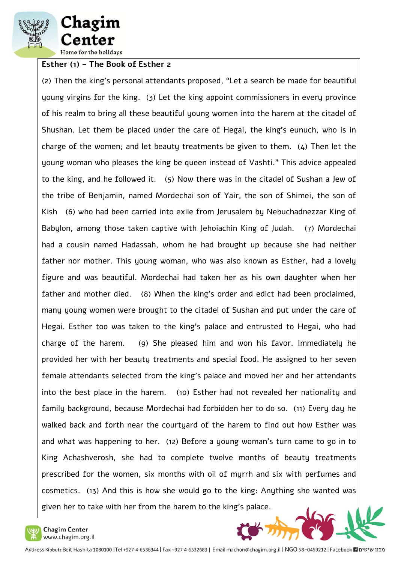

hagim: enter Home for the holidays

### **Esther (1) – The Book of Esther 2**

(2) Then the king's personal attendants proposed, "Let a search be made for beautiful young virgins for the king. (3) Let the king appoint commissioners in every province of his realm to bring all these beautiful young women into the harem at the citadel of Shushan. Let them be placed under the care of Hegai, the king's eunuch, who is in charge of the women; and let beauty treatments be given to them. (4) Then let the young woman who pleases the king be queen instead of Vashti." This advice appealed to the king, and he followed it. (5) Now there was in the citadel of Sushan a Jew of the tribe of Benjamin, named Mordechai son of Yair, the son of Shimei, the son of Kish (6) who had been carried into exile from Jerusalem by Nebuchadnezzar King of Babylon, among those taken captive with Jehoiachin King of Judah. (7) Mordechai had a cousin named Hadassah, whom he had brought up because she had neither father nor mother. This young woman, who was also known as Esther, had a lovely figure and was beautiful. Mordechai had taken her as his own daughter when her father and mother died. (8) When the king's order and edict had been proclaimed, many young women were brought to the citadel of Sushan and put under the care of Hegai. Esther too was taken to the king's palace and entrusted to Hegai, who had charge of the harem. (9) She pleased him and won his favor. Immediately he provided her with her beauty treatments and special food. He assigned to her seven female attendants selected from the king's palace and moved her and her attendants into the best place in the harem. (10) Esther had not revealed her nationality and family background, because Mordechai had forbidden her to do so. (11) Every day he walked back and forth near the courtyard of the harem to find out how Esther was and what was happening to her. (12) Before a young woman's turn came to go in to King Achashverosh, she had to complete twelve months of beauty treatments prescribed for the women, six months with oil of myrrh and six with perfumes and cosmetics. (13) And this is how she would go to the king: Anything she wanted was given her to take with her from the harem to the king's palace.



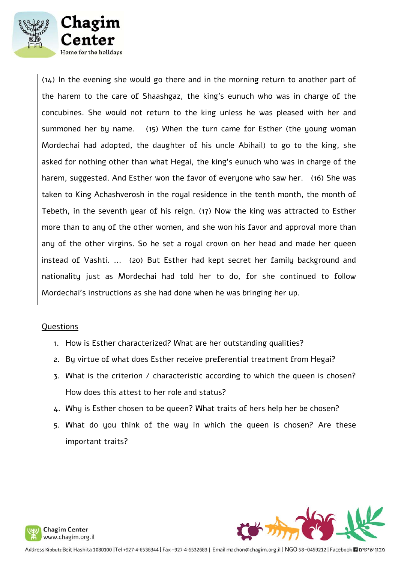

(14) In the evening she would go there and in the morning return to another part of the harem to the care of Shaashgaz, the king's eunuch who was in charge of the concubines. She would not return to the king unless he was pleased with her and summoned her by name. (15) When the turn came for Esther (the young woman Mordechai had adopted, the daughter of his uncle Abihail) to go to the king, she asked for nothing other than what Hegai, the king's eunuch who was in charge of the harem, suggested. And Esther won the favor of everyone who saw her. (16) She was taken to King Achashverosh in the royal residence in the tenth month, the month of Tebeth, in the seventh year of his reign. (17) Now the king was attracted to Esther more than to any of the other women, and she won his favor and approval more than any of the other virgins. So he set a royal crown on her head and made her queen instead of Vashti. ... (20) But Esther had kept secret her family background and nationality just as Mordechai had told her to do, for she continued to follow Mordechai's instructions as she had done when he was bringing her up.

#### **Ouestions**

- 1. How is Esther characterized? What are her outstanding qualities?
- 2. By virtue of what does Esther receive preferential treatment from Hegai?
- 3. What is the criterion / characteristic according to which the queen is chosen? How does this attest to her role and status?
- 4. Why is Esther chosen to be queen? What traits of hers help her be chosen?
- 5. What do you think of the way in which the queen is chosen? Are these important traits?



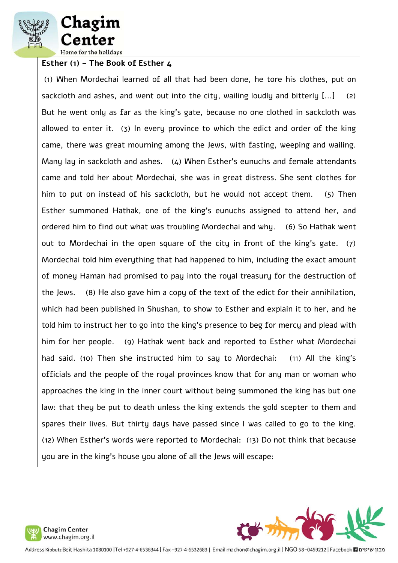



**Esther (1) – The Book of Esther 4**

 (1) When Mordechai learned of all that had been done, he tore his clothes, put on sackcloth and ashes, and went out into the city, wailing loudly and bitterly [...] (2) But he went only as far as the king's gate, because no one clothed in sackcloth was allowed to enter it. (3) In every province to which the edict and order of the king came, there was great mourning among the Jews, with fasting, weeping and wailing. Many lay in sackcloth and ashes. (4) When Esther's eunuchs and female attendants came and told her about Mordechai, she was in great distress. She sent clothes for him to put on instead of his sackcloth, but he would not accept them. (5) Then Esther summoned Hathak, one of the king's eunuchs assigned to attend her, and ordered him to find out what was troubling Mordechai and why. (6) So Hathak went out to Mordechai in the open square of the city in front of the king's gate. (7) Mordechai told him everything that had happened to him, including the exact amount of money Haman had promised to pay into the royal treasury for the destruction of the Jews. (8) He also gave him a copy of the text of the edict for their annihilation, which had been published in Shushan, to show to Esther and explain it to her, and he told him to instruct her to go into the king's presence to beg for mercy and plead with him for her people. (9) Hathak went back and reported to Esther what Mordechai had said. (10) Then she instructed him to say to Mordechai: (11) All the king's officials and the people of the royal provinces know that for any man or woman who approaches the king in the inner court without being summoned the king has but one law: that they be put to death unless the king extends the gold scepter to them and spares their lives. But thirty days have passed since I was called to go to the king. (12) When Esther's words were reported to Mordechai: (13) Do not think that because you are in the king's house you alone of all the Jews will escape:



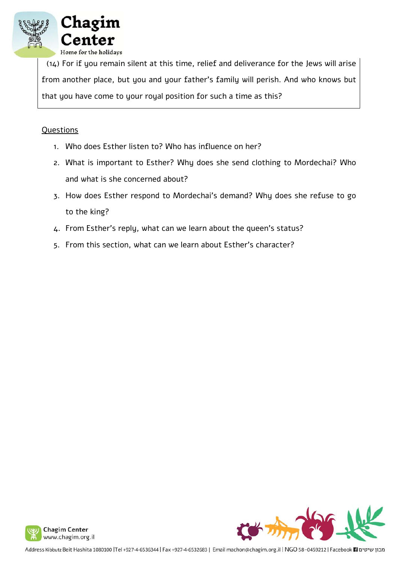

 (14) For if you remain silent at this time, relief and deliverance for the Jews will arise from another place, but you and your father's family will perish. And who knows but that you have come to your royal position for such a time as this?

### **Questions**

- 1. Who does Esther listen to? Who has influence on her?
- 2. What is important to Esther? Why does she send clothing to Mordechai? Who and what is she concerned about?
- 3. How does Esther respond to Mordechai's demand? Why does she refuse to go to the king?
- 4. From Esther's reply, what can we learn about the queen's status?
- 5. From this section, what can we learn about Esther's character?

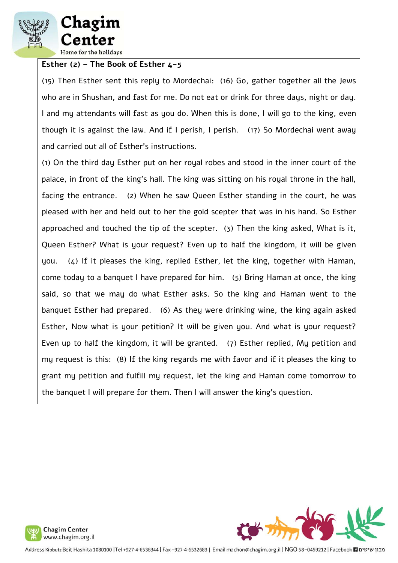

#### **Esther (2) – The Book of Esther 4-5**

(15) Then Esther sent this reply to Mordechai: (16) Go, gather together all the Jews who are in Shushan, and fast for me. Do not eat or drink for three days, night or day. I and my attendants will fast as you do. When this is done, I will go to the king, even though it is against the law. And if I perish, I perish. (17) So Mordechai went away and carried out all of Esther's instructions.

(1) On the third day Esther put on her royal robes and stood in the inner court of the palace, in front of the king's hall. The king was sitting on his royal throne in the hall, facing the entrance. (2) When he saw Queen Esther standing in the court, he was pleased with her and held out to her the gold scepter that was in his hand. So Esther approached and touched the tip of the scepter. (3) Then the king asked, What is it, Queen Esther? What is your request? Even up to half the kingdom, it will be given you. (4) If it pleases the king, replied Esther, let the king, together with Haman, come today to a banquet I have prepared for him. (5) Bring Haman at once, the king said, so that we may do what Esther asks. So the king and Haman went to the banquet Esther had prepared. (6) As they were drinking wine, the king again asked Esther, Now what is your petition? It will be given you. And what is your request? Even up to half the kingdom, it will be granted. (7) Esther replied, My petition and my request is this: (8) If the king regards me with favor and if it pleases the king to grant my petition and fulfill my request, let the king and Haman come tomorrow to the banquet I will prepare for them. Then I will answer the king's question.



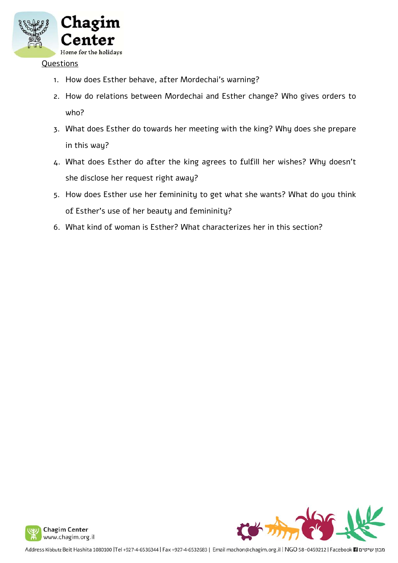

#### **Questions**

- 1. How does Esther behave, after Mordechai's warning?
- 2. How do relations between Mordechai and Esther change? Who gives orders to who?
- 3. What does Esther do towards her meeting with the king? Why does she prepare in this way?
- 4. What does Esther do after the king agrees to fulfill her wishes? Why doesn't she disclose her request right away?
- 5. How does Esther use her femininity to get what she wants? What do you think of Esther's use of her beauty and femininity?
- 6. What kind of woman is Esther? What characterizes her in this section?



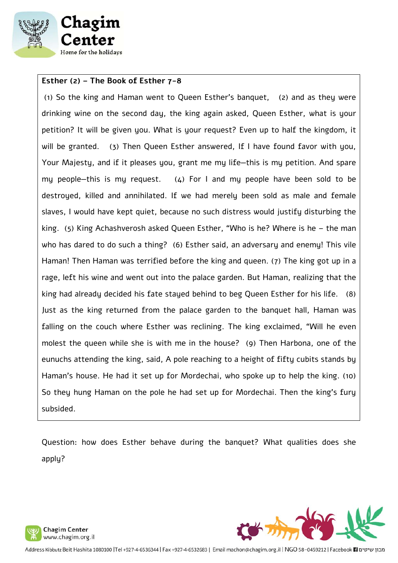

### **Esther (2) – The Book of Esther 7-8**

 (1) So the king and Haman went to Queen Esther's banquet, (2) and as they were drinking wine on the second day, the king again asked, Queen Esther, what is your petition? It will be given you. What is your request? Even up to half the kingdom, it will be granted. (3) Then Queen Esther answered, If I have found favor with you, Your Majesty, and if it pleases you, grant me my life—this is my petition. And spare my people-this is my request.  $(4)$  For I and my people have been sold to be destroyed, killed and annihilated. If we had merely been sold as male and female slaves, I would have kept quiet, because no such distress would justify disturbing the king. (5) King Achashverosh asked Queen Esther, "Who is he? Where is he – the man who has dared to do such a thing? (6) Esther said, an adversary and enemy! This vile Haman! Then Haman was terrified before the king and queen. (7) The king got up in a rage, left his wine and went out into the palace garden. But Haman, realizing that the king had already decided his fate stayed behind to beg Queen Esther for his life. (8) Just as the king returned from the palace garden to the banquet hall, Haman was falling on the couch where Esther was reclining. The king exclaimed, "Will he even molest the queen while she is with me in the house? (9) Then Harbona, one of the eunuchs attending the king, said, A pole reaching to a height of fifty cubits stands by Haman's house. He had it set up for Mordechai, who spoke up to help the king. (10) So they hung Haman on the pole he had set up for Mordechai. Then the king's fury subsided.

Question: how does Esther behave during the banquet? What qualities does she apply?



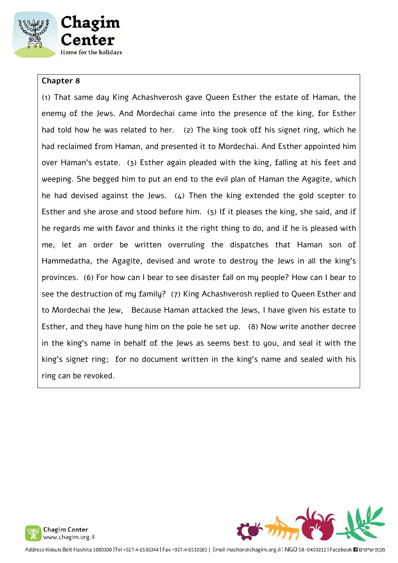

#### **Chapter 8**

(1) That same day King Achashverosh gave Queen Esther the estate of Haman, the enemy of the Jews. And Mordechai came into the presence of the king, for Esther had told how he was related to her. (2) The king took off his signet ring, which he had reclaimed from Haman, and presented it to Mordechai. And Esther appointed him over Haman's estate. (3) Esther again pleaded with the king, falling at his feet and weeping. She begged him to put an end to the evil plan of Haman the Agagite, which he had devised against the Jews.  $(4)$  Then the king extended the gold scepter to Esther and she arose and stood before him. (5) If it pleases the king, she said, and if he regards me with favor and thinks it the right thing to do, and if he is pleased with me, let an order be written overruling the dispatches that Haman son of Hammedatha, the Agagite, devised and wrote to destroy the Jews in all the king's provinces. (6) For how can I bear to see disaster fall on my people? How can I bear to see the destruction of my family? (7) King Achashverosh replied to Queen Esther and to Mordechai the Jew, Because Haman attacked the Jews, I have given his estate to Esther, and they have hung him on the pole he set up. (8) Now write another decree in the king's name in behalf of the Jews as seems best to you, and seal it with the king's signet ring; for no document written in the king's name and sealed with his ring can be revoked.



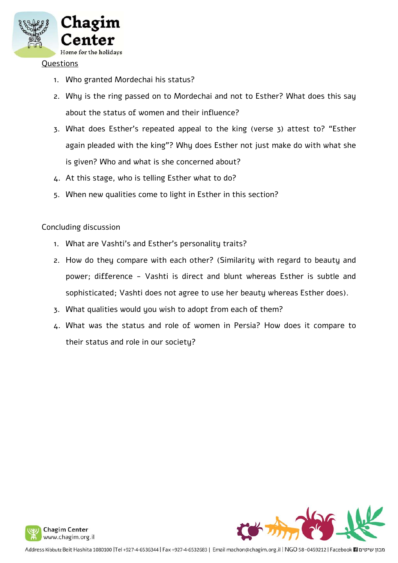

#### Questions

- 1. Who granted Mordechai his status?
- 2. Why is the ring passed on to Mordechai and not to Esther? What does this say about the status of women and their influence?
- 3. What does Esther's repeated appeal to the king (verse 3) attest to? "Esther again pleaded with the king"? Why does Esther not just make do with what she is given? Who and what is she concerned about?
- 4. At this stage, who is telling Esther what to do?
- 5. When new qualities come to light in Esther in this section?

### Concluding discussion

- 1. What are Vashti's and Esther's personality traits?
- 2. How do they compare with each other? (Similarity with regard to beauty and power; difference - Vashti is direct and blunt whereas Esther is subtle and sophisticated; Vashti does not agree to use her beauty whereas Esther does).
- 3. What qualities would you wish to adopt from each of them?
- 4. What was the status and role of women in Persia? How does it compare to their status and role in our society?



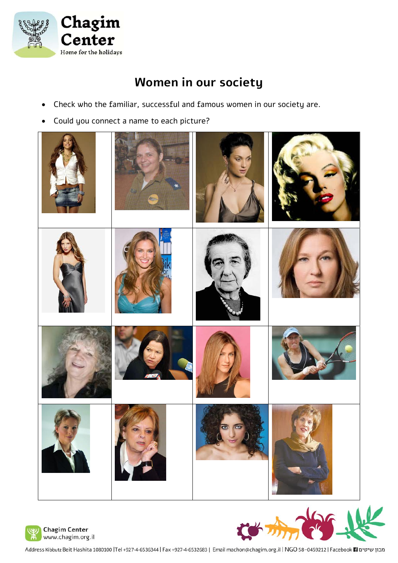

# **Women in our society**

- Check who the familiar, successful and famous women in our society are.
- Could you connect a name to each picture?







Address Kibbutz Beit Hashita 1080100 |Tel +927-4-6536344 | Fax +927-4-6532683 | Email machon@chagim.org.il | NGO 58-0459212 | Facebook | actps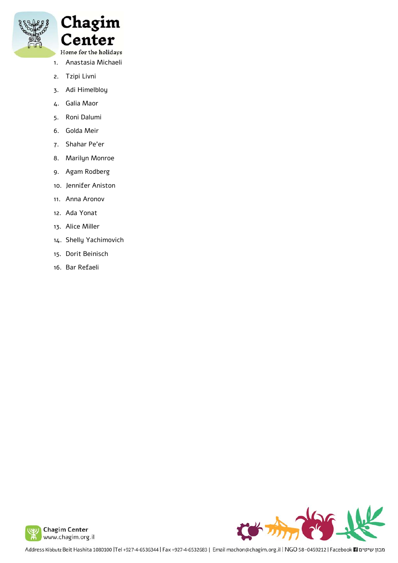

Chagim Center

- Home for the holidays 1. Anastasia Michaeli
- 2. Tzipi Livni
- 3. Adi Himelbloy
- 4. Galia Maor
- 5. Roni Dalumi
- 6. Golda Meir
- 7. Shahar Pe'er
- 8. Marilyn Monroe
- 9. Agam Rodberg
- 10. Jennifer Aniston
- 11. Anna Aronov
- 12. Ada Yonat
- 13. Alice Miller
- 14. Shelly Yachimovich
- 15. Dorit Beinisch
- 16. Bar Refaeli



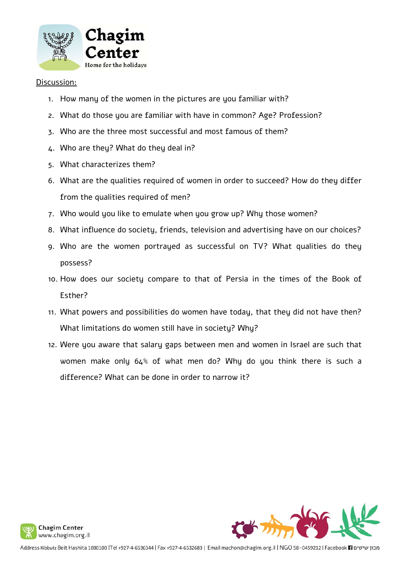

#### Discussion:

- 1. How many of the women in the pictures are you familiar with?
- 2. What do those you are familiar with have in common? Age? Profession?
- 3. Who are the three most successful and most famous of them?
- 4. Who are they? What do they deal in?
- 5. What characterizes them?
- 6. What are the qualities required of women in order to succeed? How do they differ from the qualities required of men?
- 7. Who would you like to emulate when you grow up? Why those women?
- 8. What influence do society, friends, television and advertising have on our choices?
- 9. Who are the women portrayed as successful on TV? What qualities do they possess?
- 10. How does our society compare to that of Persia in the times of the Book of Esther?
- 11. What powers and possibilities do women have today, that they did not have then? What limitations do women still have in society? Why?
- 12. Were you aware that salary gaps between men and women in Israel are such that women make only 64% of what men do? Why do you think there is such a difference? What can be done in order to narrow it?